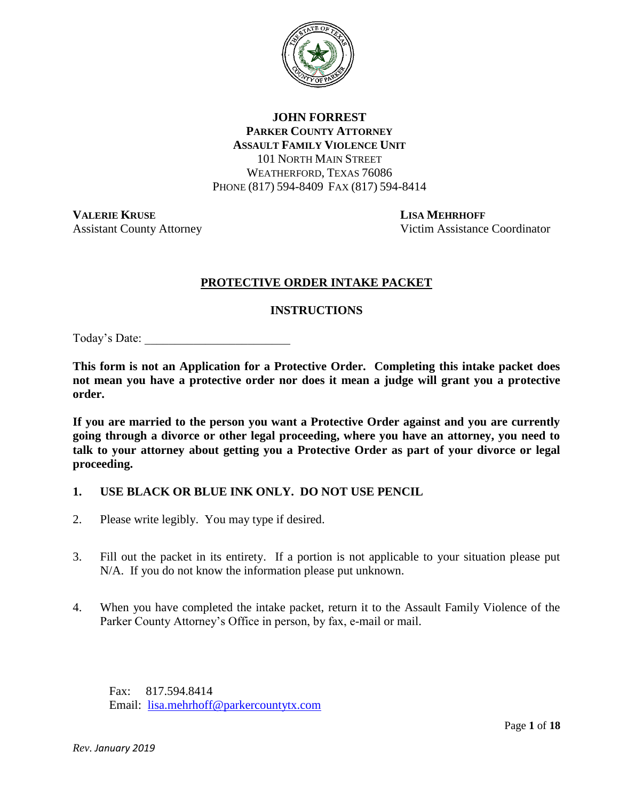

## **JOHN FORREST PARKER COUNTY ATTORNEY ASSAULT FAMILY VIOLENCE UNIT** 101 NORTH MAIN STREET WEATHERFORD, TEXAS 76086 PHONE (817) 594-8409 FAX (817) 594-8414

**VALERIE KRUSE LISA MEHRHOFF**

Assistant County Attorney Victim Assistance Coordinator

# **PROTECTIVE ORDER INTAKE PACKET**

## **INSTRUCTIONS**

Today's Date:

**This form is not an Application for a Protective Order. Completing this intake packet does not mean you have a protective order nor does it mean a judge will grant you a protective order.**

**If you are married to the person you want a Protective Order against and you are currently going through a divorce or other legal proceeding, where you have an attorney, you need to talk to your attorney about getting you a Protective Order as part of your divorce or legal proceeding.**

- **1. USE BLACK OR BLUE INK ONLY. DO NOT USE PENCIL**
- 2. Please write legibly. You may type if desired.
- 3. Fill out the packet in its entirety. If a portion is not applicable to your situation please put N/A. If you do not know the information please put unknown.
- 4. When you have completed the intake packet, return it to the Assault Family Violence of the Parker County Attorney's Office in person, by fax, e-mail or mail.

Fax: 817.594.8414 Email: [lisa.mehrhoff@parkercountytx.com](mailto:lisa.mehrhoff@parkercountytx.com)

*Rev. January 2019*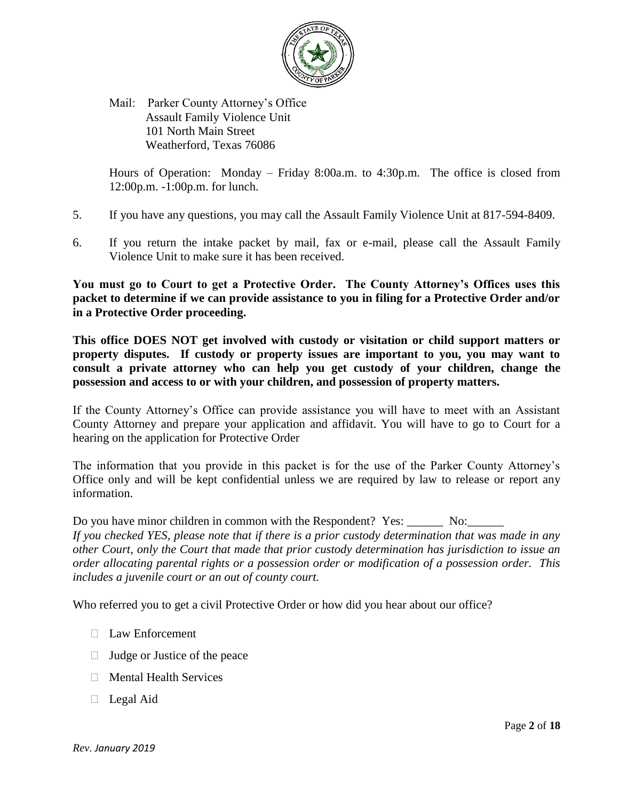

Mail: Parker County Attorney's Office Assault Family Violence Unit 101 North Main Street Weatherford, Texas 76086

Hours of Operation: Monday – Friday 8:00a.m. to 4:30p.m. The office is closed from 12:00p.m. -1:00p.m. for lunch.

- 5. If you have any questions, you may call the Assault Family Violence Unit at 817-594-8409.
- 6. If you return the intake packet by mail, fax or e-mail, please call the Assault Family Violence Unit to make sure it has been received.

**You must go to Court to get a Protective Order. The County Attorney's Offices uses this packet to determine if we can provide assistance to you in filing for a Protective Order and/or in a Protective Order proceeding.**

**This office DOES NOT get involved with custody or visitation or child support matters or property disputes. If custody or property issues are important to you, you may want to consult a private attorney who can help you get custody of your children, change the possession and access to or with your children, and possession of property matters.** 

If the County Attorney's Office can provide assistance you will have to meet with an Assistant County Attorney and prepare your application and affidavit. You will have to go to Court for a hearing on the application for Protective Order

The information that you provide in this packet is for the use of the Parker County Attorney's Office only and will be kept confidential unless we are required by law to release or report any information.

Do you have minor children in common with the Respondent? Yes: No:

*If you checked YES, please note that if there is a prior custody determination that was made in any other Court, only the Court that made that prior custody determination has jurisdiction to issue an order allocating parental rights or a possession order or modification of a possession order. This includes a juvenile court or an out of county court.*

Who referred you to get a civil Protective Order or how did you hear about our office?

- □ Law Enforcement
- $\Box$  Judge or Justice of the peace
- $\Box$  Mental Health Services
- □ Legal Aid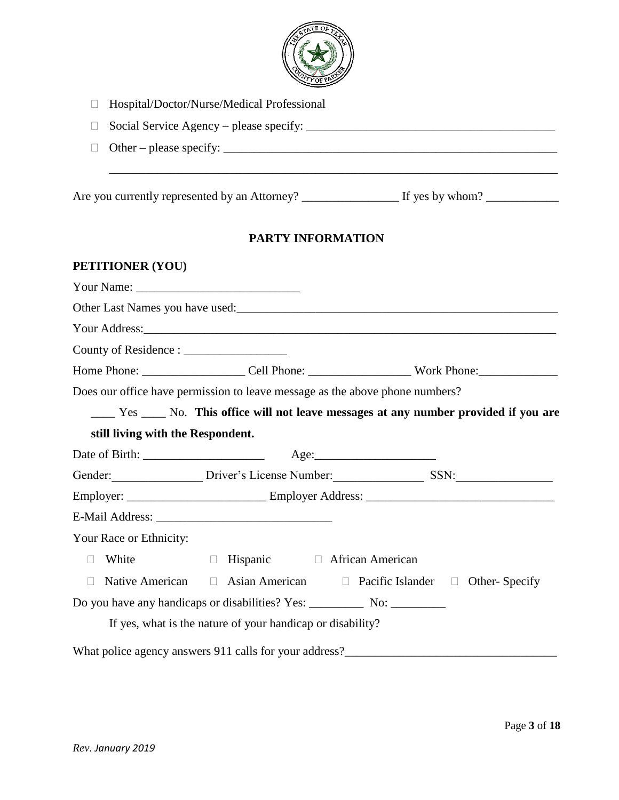

| Hospital/Doctor/Nurse/Medical Professional |  |
|--------------------------------------------|--|
|                                            |  |

| $\Box$ Social Service Agency – please specify: |  |
|------------------------------------------------|--|
|                                                |  |

Other – please specify: \_\_\_\_\_\_\_\_\_\_\_\_\_\_\_\_\_\_\_\_\_\_\_\_\_\_\_\_\_\_\_\_\_\_\_\_\_\_\_\_\_\_\_\_\_\_\_\_\_\_\_\_\_\_\_

 $\ldots$  . The contribution of the contribution of the contribution of the contribution of  $\alpha$ 

Are you currently represented by an Attorney? \_\_\_\_\_\_\_\_\_\_\_\_\_\_\_\_ If yes by whom? \_\_\_\_\_\_\_\_\_\_\_\_

## **PARTY INFORMATION**

#### **PETITIONER (YOU)**

|                                   |                                                                              | Other Last Names you have used:<br><u>Last Names you have used:</u>                       |
|-----------------------------------|------------------------------------------------------------------------------|-------------------------------------------------------------------------------------------|
|                                   |                                                                              |                                                                                           |
|                                   |                                                                              |                                                                                           |
|                                   |                                                                              |                                                                                           |
|                                   | Does our office have permission to leave message as the above phone numbers? |                                                                                           |
|                                   |                                                                              | _____ Yes _____ No. This office will not leave messages at any number provided if you are |
| still living with the Respondent. |                                                                              |                                                                                           |
|                                   |                                                                              |                                                                                           |
|                                   |                                                                              | Gender: Driver's License Number: SSN:                                                     |
|                                   |                                                                              |                                                                                           |
|                                   |                                                                              |                                                                                           |
| Your Race or Ethnicity:           |                                                                              |                                                                                           |
| White<br>П                        | □ Hispanic □ African American                                                |                                                                                           |
| $\Box$                            |                                                                              | Native American □ Asian American □ Pacific Islander □ Other-Specify                       |
|                                   | If yes, what is the nature of your handicap or disability?                   |                                                                                           |
|                                   |                                                                              |                                                                                           |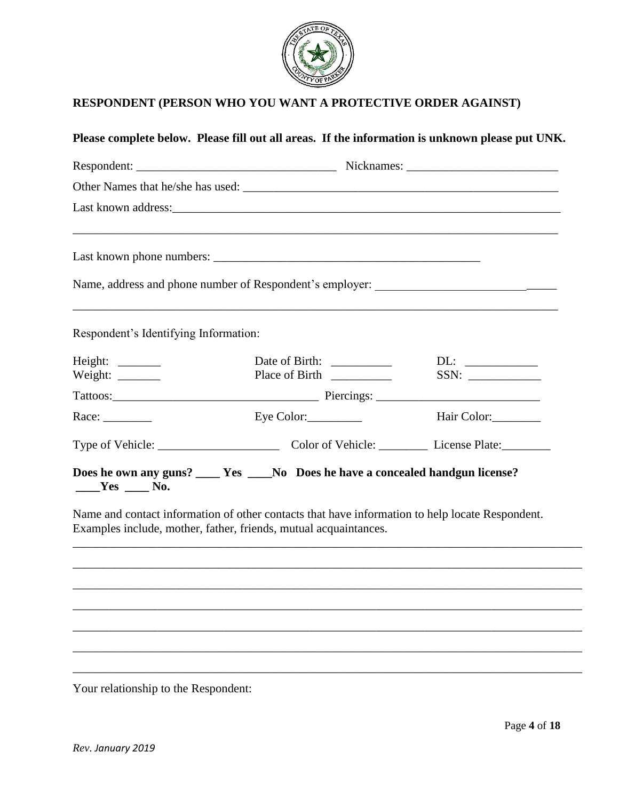

# **RESPONDENT (PERSON WHO YOU WANT A PROTECTIVE ORDER AGAINST)**

# **Please complete below. Please fill out all areas. If the information is unknown please put UNK.** Respondent: \_\_\_\_\_\_\_\_\_\_\_\_\_\_\_\_\_\_\_\_\_\_\_\_\_\_\_\_\_\_\_\_\_ Nicknames: \_\_\_\_\_\_\_\_\_\_\_\_\_\_\_\_\_\_\_\_\_\_\_\_\_ Other Names that he/she has used: \_\_\_\_\_\_\_\_\_\_\_\_\_\_\_\_\_\_\_\_\_\_\_\_\_\_\_\_\_\_\_\_\_\_\_\_\_\_\_\_\_\_\_\_\_\_\_\_\_\_\_\_ Last known address: \_\_\_\_\_\_\_\_\_\_\_\_\_\_\_\_\_\_\_\_\_\_\_\_\_\_\_\_\_\_\_\_\_\_\_\_\_\_\_\_\_\_\_\_\_\_\_\_\_\_\_\_\_\_\_\_\_\_\_\_\_\_\_\_\_\_\_\_\_\_\_\_\_\_\_\_\_\_\_\_ Last known phone numbers: \_\_\_\_\_\_\_\_\_\_\_\_\_\_\_\_\_\_\_\_\_\_\_\_\_\_\_\_\_\_\_\_\_\_\_\_\_\_\_\_\_\_\_\_ Name, address and phone number of Respondent's employer: \_\_\_\_\_\_\_\_\_\_\_\_\_\_\_\_\_\_\_\_\_\_\_\_ \_\_\_\_\_\_\_\_\_\_\_\_\_\_\_\_\_\_\_\_\_\_\_\_\_\_\_\_\_\_\_\_\_\_\_\_\_\_\_\_\_\_\_\_\_\_\_\_\_\_\_\_\_\_\_\_\_\_\_\_\_\_\_\_\_\_\_\_\_\_\_\_\_\_\_\_\_\_\_\_ Respondent's Identifying Information: Height: \_\_\_\_\_\_\_\_\_\_ Date of Birth: \_\_\_\_\_\_\_\_\_\_ DL: \_\_\_\_\_\_\_\_\_\_\_ Weight: \_\_\_\_\_\_\_ Place of Birth \_\_\_\_\_\_\_\_\_\_ SSN: \_\_\_\_\_\_\_\_\_\_\_\_ Tattoos:\_\_\_\_\_\_\_\_\_\_\_\_\_\_\_\_\_\_\_\_\_\_\_\_\_\_\_\_\_\_\_\_\_\_ Piercings: \_\_\_\_\_\_\_\_\_\_\_\_\_\_\_\_\_\_\_\_\_\_\_\_\_\_\_ Race: Eye Color: Exection Exection Exection Execution Execution Execution Execution Execution Execution Execution Execution Execution Execution Execution Execution Execution Execution Execution Execution Execution Executio Type of Vehicle: \_\_\_\_\_\_\_\_\_\_\_\_\_\_\_\_\_\_\_\_ Color of Vehicle: \_\_\_\_\_\_\_\_ License Plate:\_\_\_\_\_\_\_\_ **Does he own any guns? \_\_\_\_ Yes \_\_\_\_No Does he have a concealed handgun license? \_\_\_\_Yes \_\_\_\_ No.** Name and contact information of other contacts that have information to help locate Respondent.

Examples include, mother, father, friends, mutual acquaintances.

\_\_\_\_\_\_\_\_\_\_\_\_\_\_\_\_\_\_\_\_\_\_\_\_\_\_\_\_\_\_\_\_\_\_\_\_\_\_\_\_\_\_\_\_\_\_\_\_\_\_\_\_\_\_\_\_\_\_\_\_\_\_\_\_\_\_\_\_\_\_\_\_\_\_\_\_\_\_\_\_\_\_\_\_

\_\_\_\_\_\_\_\_\_\_\_\_\_\_\_\_\_\_\_\_\_\_\_\_\_\_\_\_\_\_\_\_\_\_\_\_\_\_\_\_\_\_\_\_\_\_\_\_\_\_\_\_\_\_\_\_\_\_\_\_\_\_\_\_\_\_\_\_\_\_\_\_\_\_\_\_\_\_\_\_\_\_\_\_

\_\_\_\_\_\_\_\_\_\_\_\_\_\_\_\_\_\_\_\_\_\_\_\_\_\_\_\_\_\_\_\_\_\_\_\_\_\_\_\_\_\_\_\_\_\_\_\_\_\_\_\_\_\_\_\_\_\_\_\_\_\_\_\_\_\_\_\_\_\_\_\_\_\_\_\_\_\_\_\_\_\_\_\_

\_\_\_\_\_\_\_\_\_\_\_\_\_\_\_\_\_\_\_\_\_\_\_\_\_\_\_\_\_\_\_\_\_\_\_\_\_\_\_\_\_\_\_\_\_\_\_\_\_\_\_\_\_\_\_\_\_\_\_\_\_\_\_\_\_\_\_\_\_\_\_\_\_\_\_\_\_\_\_\_\_\_\_\_

\_\_\_\_\_\_\_\_\_\_\_\_\_\_\_\_\_\_\_\_\_\_\_\_\_\_\_\_\_\_\_\_\_\_\_\_\_\_\_\_\_\_\_\_\_\_\_\_\_\_\_\_\_\_\_\_\_\_\_\_\_\_\_\_\_\_\_\_\_\_\_\_\_\_\_\_\_\_\_\_\_\_\_\_

\_\_\_\_\_\_\_\_\_\_\_\_\_\_\_\_\_\_\_\_\_\_\_\_\_\_\_\_\_\_\_\_\_\_\_\_\_\_\_\_\_\_\_\_\_\_\_\_\_\_\_\_\_\_\_\_\_\_\_\_\_\_\_\_\_\_\_\_\_\_\_\_\_\_\_\_\_\_\_\_\_\_\_\_

\_\_\_\_\_\_\_\_\_\_\_\_\_\_\_\_\_\_\_\_\_\_\_\_\_\_\_\_\_\_\_\_\_\_\_\_\_\_\_\_\_\_\_\_\_\_\_\_\_\_\_\_\_\_\_\_\_\_\_\_\_\_\_\_\_\_\_\_\_\_\_\_\_\_\_\_\_\_\_\_\_\_\_\_

Your relationship to the Respondent: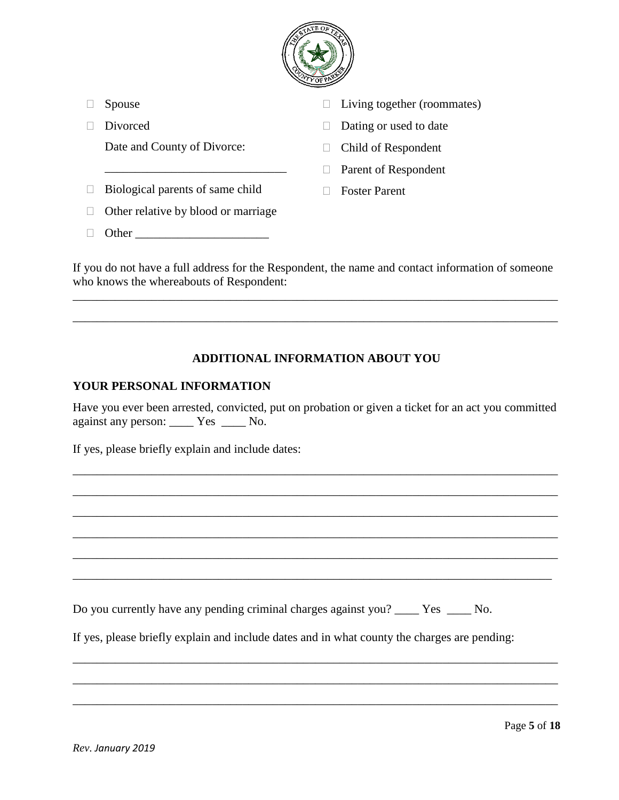

| Spouse                              | Living together (roommates) |
|-------------------------------------|-----------------------------|
| Divorced                            | Dating or used to date      |
| Date and County of Divorce:         | Child of Respondent         |
|                                     | Parent of Respondent        |
| Biological parents of same child    | <b>Foster Parent</b>        |
| Other relative by blood or marriage |                             |
| Other                               |                             |
|                                     |                             |

If you do not have a full address for the Respondent, the name and contact information of someone who knows the whereabouts of Respondent:

\_\_\_\_\_\_\_\_\_\_\_\_\_\_\_\_\_\_\_\_\_\_\_\_\_\_\_\_\_\_\_\_\_\_\_\_\_\_\_\_\_\_\_\_\_\_\_\_\_\_\_\_\_\_\_\_\_\_\_\_\_\_\_\_\_\_\_\_\_\_\_\_\_\_\_\_\_\_\_\_

\_\_\_\_\_\_\_\_\_\_\_\_\_\_\_\_\_\_\_\_\_\_\_\_\_\_\_\_\_\_\_\_\_\_\_\_\_\_\_\_\_\_\_\_\_\_\_\_\_\_\_\_\_\_\_\_\_\_\_\_\_\_\_\_\_\_\_\_\_\_\_\_\_\_\_\_\_\_\_\_

# **ADDITIONAL INFORMATION ABOUT YOU**

### **YOUR PERSONAL INFORMATION**

Have you ever been arrested, convicted, put on probation or given a ticket for an act you committed against any person: \_\_\_\_ Yes \_\_\_\_ No.

\_\_\_\_\_\_\_\_\_\_\_\_\_\_\_\_\_\_\_\_\_\_\_\_\_\_\_\_\_\_\_\_\_\_\_\_\_\_\_\_\_\_\_\_\_\_\_\_\_\_\_\_\_\_\_\_\_\_\_\_\_\_\_\_\_\_\_\_\_\_\_\_\_\_\_\_\_\_\_\_

\_\_\_\_\_\_\_\_\_\_\_\_\_\_\_\_\_\_\_\_\_\_\_\_\_\_\_\_\_\_\_\_\_\_\_\_\_\_\_\_\_\_\_\_\_\_\_\_\_\_\_\_\_\_\_\_\_\_\_\_\_\_\_\_\_\_\_\_\_\_\_\_\_\_\_\_\_\_\_\_

\_\_\_\_\_\_\_\_\_\_\_\_\_\_\_\_\_\_\_\_\_\_\_\_\_\_\_\_\_\_\_\_\_\_\_\_\_\_\_\_\_\_\_\_\_\_\_\_\_\_\_\_\_\_\_\_\_\_\_\_\_\_\_\_\_\_\_\_\_\_\_\_\_\_\_\_\_\_\_\_

\_\_\_\_\_\_\_\_\_\_\_\_\_\_\_\_\_\_\_\_\_\_\_\_\_\_\_\_\_\_\_\_\_\_\_\_\_\_\_\_\_\_\_\_\_\_\_\_\_\_\_\_\_\_\_\_\_\_\_\_\_\_\_\_\_\_\_\_\_\_\_\_\_\_\_\_\_\_\_\_

\_\_\_\_\_\_\_\_\_\_\_\_\_\_\_\_\_\_\_\_\_\_\_\_\_\_\_\_\_\_\_\_\_\_\_\_\_\_\_\_\_\_\_\_\_\_\_\_\_\_\_\_\_\_\_\_\_\_\_\_\_\_\_\_\_\_\_\_\_\_\_\_\_\_\_\_\_\_\_\_

\_\_\_\_\_\_\_\_\_\_\_\_\_\_\_\_\_\_\_\_\_\_\_\_\_\_\_\_\_\_\_\_\_\_\_\_\_\_\_\_\_\_\_\_\_\_\_\_\_\_\_\_\_\_\_\_\_\_\_\_\_\_\_\_\_\_\_\_\_\_\_\_\_\_\_\_\_\_\_

\_\_\_\_\_\_\_\_\_\_\_\_\_\_\_\_\_\_\_\_\_\_\_\_\_\_\_\_\_\_\_\_\_\_\_\_\_\_\_\_\_\_\_\_\_\_\_\_\_\_\_\_\_\_\_\_\_\_\_\_\_\_\_\_\_\_\_\_\_\_\_\_\_\_\_\_\_\_\_\_

\_\_\_\_\_\_\_\_\_\_\_\_\_\_\_\_\_\_\_\_\_\_\_\_\_\_\_\_\_\_\_\_\_\_\_\_\_\_\_\_\_\_\_\_\_\_\_\_\_\_\_\_\_\_\_\_\_\_\_\_\_\_\_\_\_\_\_\_\_\_\_\_\_\_\_\_\_\_\_\_

\_\_\_\_\_\_\_\_\_\_\_\_\_\_\_\_\_\_\_\_\_\_\_\_\_\_\_\_\_\_\_\_\_\_\_\_\_\_\_\_\_\_\_\_\_\_\_\_\_\_\_\_\_\_\_\_\_\_\_\_\_\_\_\_\_\_\_\_\_\_\_\_\_\_\_\_\_\_\_\_

If yes, please briefly explain and include dates:

Do you currently have any pending criminal charges against you? \_\_\_\_ Yes \_\_\_\_ No.

If yes, please briefly explain and include dates and in what county the charges are pending: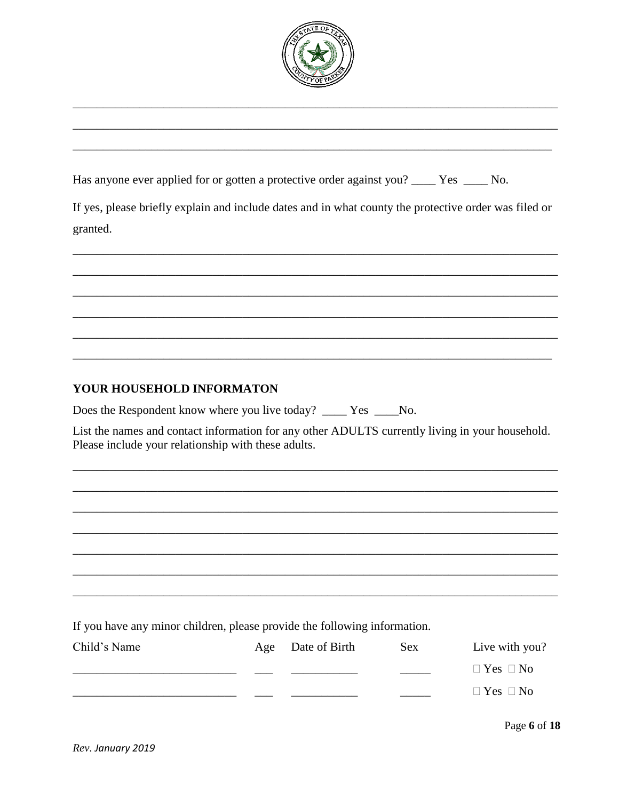

|  |  | Has anyone ever applied for or gotten a protective order against you? _____ Yes _____ No. |  |  |  |
|--|--|-------------------------------------------------------------------------------------------|--|--|--|
|--|--|-------------------------------------------------------------------------------------------|--|--|--|

If yes, please briefly explain and include dates and in what county the protective order was filed or granted.

# YOUR HOUSEHOLD INFORMATON

Does the Respondent know where you live today? \_\_\_\_\_ Yes \_\_\_\_\_No.

List the names and contact information for any other ADULTS currently living in your household. Please include your relationship with these adults.

If you have any minor children, please provide the following information.

| Child's Name | Age | Date of Birth | Sex | Live with you?       |
|--------------|-----|---------------|-----|----------------------|
|              |     |               |     | $\Box$ Yes $\Box$ No |
|              |     |               |     | $\Box$ Yes $\Box$ No |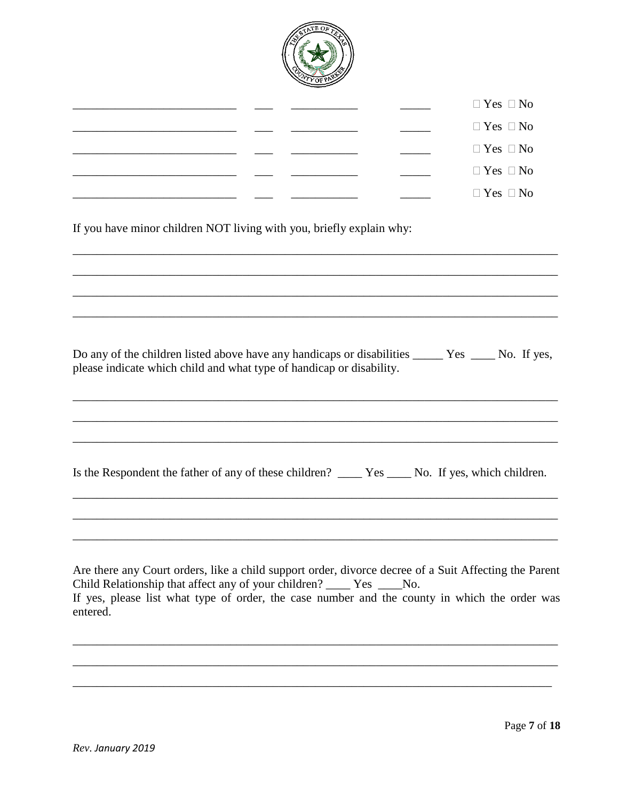

|  |  | $\Box$ Yes $\Box$ No |
|--|--|----------------------|
|  |  | $\Box$ Yes $\Box$ No |
|  |  | $\Box$ Yes $\Box$ No |
|  |  | $\Box$ Yes $\Box$ No |
|  |  | $\Box$ Yes $\Box$ No |

If you have minor children NOT living with you, briefly explain why:

| please indicate which child and what type of handicap or disability. |  |
|----------------------------------------------------------------------|--|

Are there any Court orders, like a child support order, divorce decree of a Suit Affecting the Parent Child Relationship that affect any of your children? \_\_\_\_\_ Yes \_\_\_\_\_No. If yes, please list what type of order, the case number and the county in which the order was entered.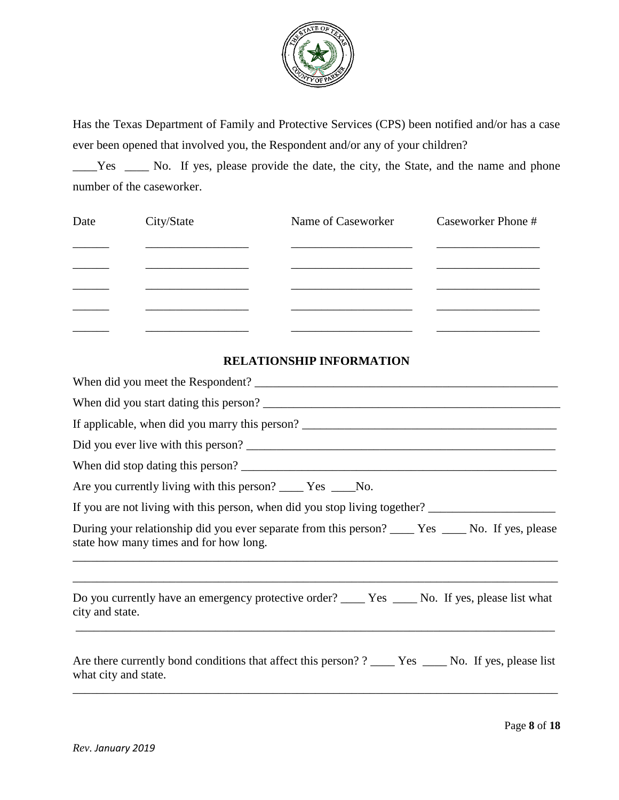

Has the Texas Department of Family and Protective Services (CPS) been notified and/or has a case ever been opened that involved you, the Respondent and/or any of your children?

\_\_\_\_Yes \_\_\_\_ No. If yes, please provide the date, the city, the State, and the name and phone number of the caseworker.

| Date | City/State | Name of Caseworker | Caseworker Phone # |
|------|------------|--------------------|--------------------|
|      |            |                    |                    |
|      |            |                    |                    |
|      |            |                    |                    |
|      |            |                    |                    |
|      |            |                    |                    |

## **RELATIONSHIP INFORMATION**

| If applicable, when did you marry this person?                                                                                 |
|--------------------------------------------------------------------------------------------------------------------------------|
| Did you ever live with this person?                                                                                            |
| When did stop dating this person?                                                                                              |
| Are you currently living with this person? ______ Yes _____No.                                                                 |
| If you are not living with this person, when did you stop living together? _________________________                           |
| state how many times and for how long.                                                                                         |
| city and state.                                                                                                                |
| Are there currently bond conditions that affect this person? ? _____ Yes _____ No. If yes, please list<br>what city and state. |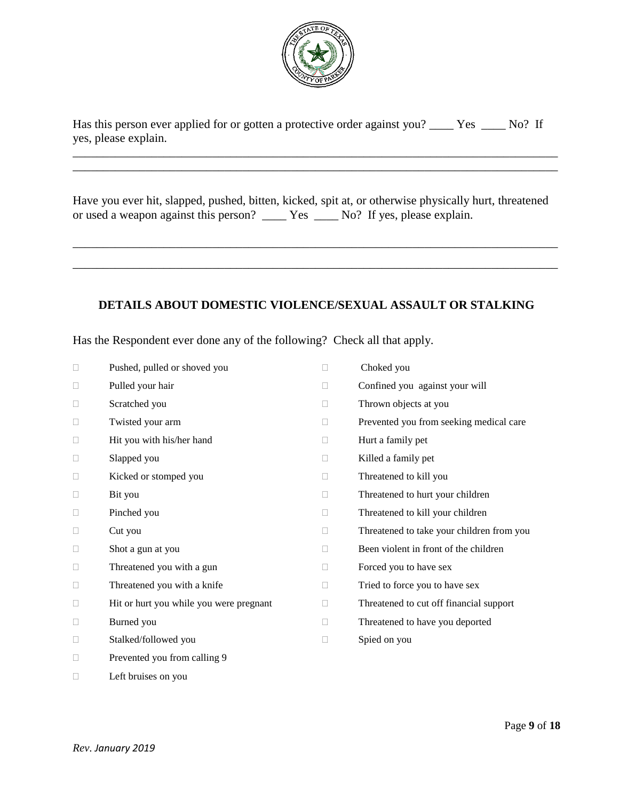

Has this person ever applied for or gotten a protective order against you? \_\_\_\_\_ Yes \_\_\_\_\_ No? If yes, please explain.

\_\_\_\_\_\_\_\_\_\_\_\_\_\_\_\_\_\_\_\_\_\_\_\_\_\_\_\_\_\_\_\_\_\_\_\_\_\_\_\_\_\_\_\_\_\_\_\_\_\_\_\_\_\_\_\_\_\_\_\_\_\_\_\_\_\_\_\_\_\_\_\_\_\_\_\_\_\_\_\_

Have you ever hit, slapped, pushed, bitten, kicked, spit at, or otherwise physically hurt, threatened or used a weapon against this person? \_\_\_\_ Yes \_\_\_\_ No? If yes, please explain.

\_\_\_\_\_\_\_\_\_\_\_\_\_\_\_\_\_\_\_\_\_\_\_\_\_\_\_\_\_\_\_\_\_\_\_\_\_\_\_\_\_\_\_\_\_\_\_\_\_\_\_\_\_\_\_\_\_\_\_\_\_\_\_\_\_\_\_\_\_\_\_\_\_\_\_\_\_\_\_\_

\_\_\_\_\_\_\_\_\_\_\_\_\_\_\_\_\_\_\_\_\_\_\_\_\_\_\_\_\_\_\_\_\_\_\_\_\_\_\_\_\_\_\_\_\_\_\_\_\_\_\_\_\_\_\_\_\_\_\_\_\_\_\_\_\_\_\_\_\_\_\_\_\_\_\_\_\_\_\_\_

\_\_\_\_\_\_\_\_\_\_\_\_\_\_\_\_\_\_\_\_\_\_\_\_\_\_\_\_\_\_\_\_\_\_\_\_\_\_\_\_\_\_\_\_\_\_\_\_\_\_\_\_\_\_\_\_\_\_\_\_\_\_\_\_\_\_\_\_\_\_\_\_\_\_\_\_\_\_\_\_

## **DETAILS ABOUT DOMESTIC VIOLENCE/SEXUAL ASSAULT OR STALKING**

Has the Respondent ever done any of the following? Check all that apply.

| $\Box$ | Pushed, pulled or shoved you            | П      | Choked you                                |
|--------|-----------------------------------------|--------|-------------------------------------------|
| $\Box$ | Pulled your hair                        | П      | Confined you against your will            |
| $\Box$ | Scratched you                           | П      | Thrown objects at you                     |
| $\Box$ | Twisted your arm                        | П      | Prevented you from seeking medical care   |
| $\Box$ | Hit you with his/her hand               | П      | Hurt a family pet                         |
| $\Box$ | Slapped you                             | □      | Killed a family pet                       |
| $\Box$ | Kicked or stomped you                   | П      | Threatened to kill you                    |
| $\Box$ | Bit you                                 | $\Box$ | Threatened to hurt your children          |
| $\Box$ | Pinched you                             | П      | Threatened to kill your children          |
| $\Box$ | Cut you                                 | П      | Threatened to take your children from you |
| $\Box$ | Shot a gun at you                       | П      | Been violent in front of the children     |
| □      | Threatened you with a gun               | $\Box$ | Forced you to have sex                    |
| $\Box$ | Threatened you with a knife             | □      | Tried to force you to have sex            |
| $\Box$ | Hit or hurt you while you were pregnant | $\Box$ | Threatened to cut off financial support   |
| $\Box$ | Burned you                              | П      | Threatened to have you deported           |
| □      | Stalked/followed you                    | □      | Spied on you                              |
| $\Box$ | Prevented you from calling 9            |        |                                           |

 $\Box$  Left bruises on you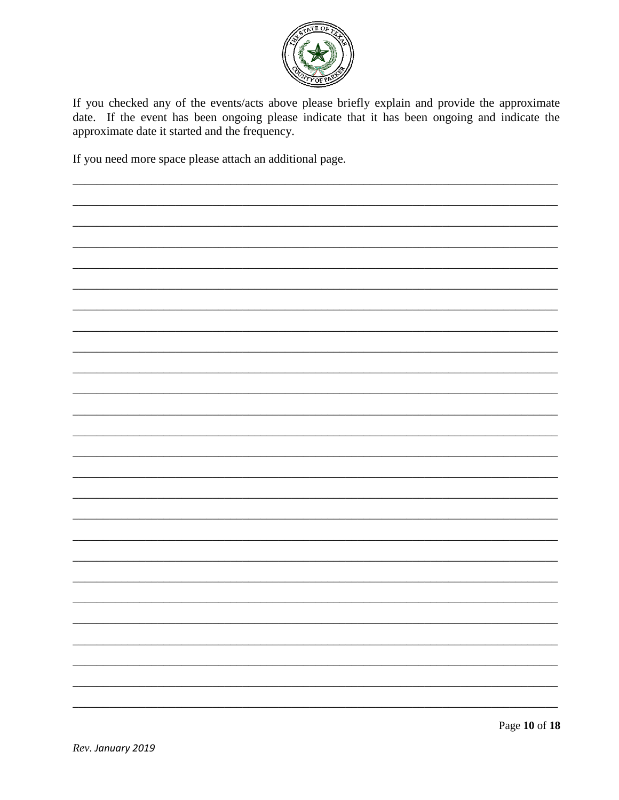

If you checked any of the events/acts above please briefly explain and provide the approximate date. If the event has been ongoing please indicate that it has been ongoing and indicate the approximate date it started and the frequency.

If you need more space please attach an additional page.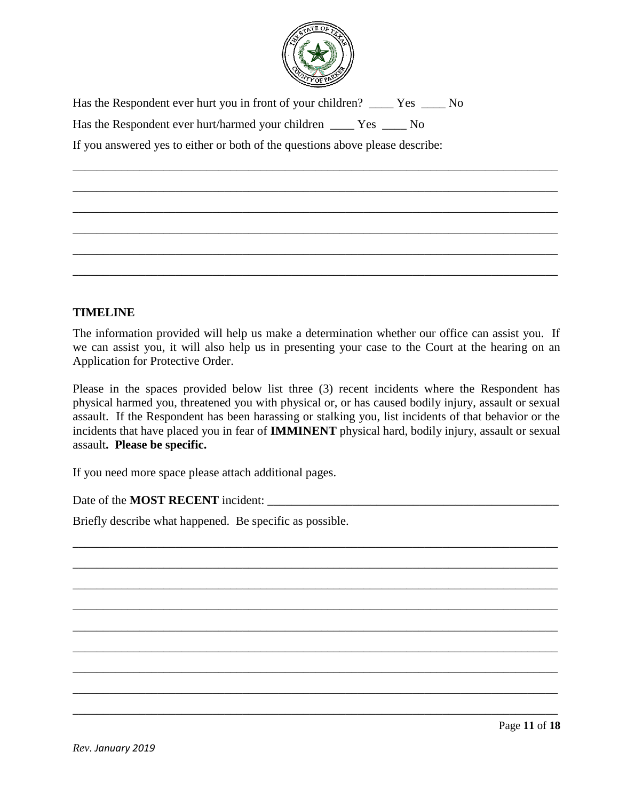

\_\_\_\_\_\_\_\_\_\_\_\_\_\_\_\_\_\_\_\_\_\_\_\_\_\_\_\_\_\_\_\_\_\_\_\_\_\_\_\_\_\_\_\_\_\_\_\_\_\_\_\_\_\_\_\_\_\_\_\_\_\_\_\_\_\_\_\_\_\_\_\_\_\_\_\_\_\_\_\_

\_\_\_\_\_\_\_\_\_\_\_\_\_\_\_\_\_\_\_\_\_\_\_\_\_\_\_\_\_\_\_\_\_\_\_\_\_\_\_\_\_\_\_\_\_\_\_\_\_\_\_\_\_\_\_\_\_\_\_\_\_\_\_\_\_\_\_\_\_\_\_\_\_\_\_\_\_\_\_\_

\_\_\_\_\_\_\_\_\_\_\_\_\_\_\_\_\_\_\_\_\_\_\_\_\_\_\_\_\_\_\_\_\_\_\_\_\_\_\_\_\_\_\_\_\_\_\_\_\_\_\_\_\_\_\_\_\_\_\_\_\_\_\_\_\_\_\_\_\_\_\_\_\_\_\_\_\_\_\_\_

\_\_\_\_\_\_\_\_\_\_\_\_\_\_\_\_\_\_\_\_\_\_\_\_\_\_\_\_\_\_\_\_\_\_\_\_\_\_\_\_\_\_\_\_\_\_\_\_\_\_\_\_\_\_\_\_\_\_\_\_\_\_\_\_\_\_\_\_\_\_\_\_\_\_\_\_\_\_\_\_

\_\_\_\_\_\_\_\_\_\_\_\_\_\_\_\_\_\_\_\_\_\_\_\_\_\_\_\_\_\_\_\_\_\_\_\_\_\_\_\_\_\_\_\_\_\_\_\_\_\_\_\_\_\_\_\_\_\_\_\_\_\_\_\_\_\_\_\_\_\_\_\_\_\_\_\_\_\_\_\_

\_\_\_\_\_\_\_\_\_\_\_\_\_\_\_\_\_\_\_\_\_\_\_\_\_\_\_\_\_\_\_\_\_\_\_\_\_\_\_\_\_\_\_\_\_\_\_\_\_\_\_\_\_\_\_\_\_\_\_\_\_\_\_\_\_\_\_\_\_\_\_\_\_\_\_\_\_\_\_\_

Has the Respondent ever hurt you in front of your children? \_\_\_\_\_ Yes \_\_\_\_ No Has the Respondent ever hurt/harmed your children Yes No If you answered yes to either or both of the questions above please describe:

# **TIMELINE**

The information provided will help us make a determination whether our office can assist you. If we can assist you, it will also help us in presenting your case to the Court at the hearing on an Application for Protective Order.

Please in the spaces provided below list three (3) recent incidents where the Respondent has physical harmed you, threatened you with physical or, or has caused bodily injury, assault or sexual assault. If the Respondent has been harassing or stalking you, list incidents of that behavior or the incidents that have placed you in fear of **IMMINENT** physical hard, bodily injury, assault or sexual assault**. Please be specific.** 

\_\_\_\_\_\_\_\_\_\_\_\_\_\_\_\_\_\_\_\_\_\_\_\_\_\_\_\_\_\_\_\_\_\_\_\_\_\_\_\_\_\_\_\_\_\_\_\_\_\_\_\_\_\_\_\_\_\_\_\_\_\_\_\_\_\_\_\_\_\_\_\_\_\_\_\_\_\_\_\_

\_\_\_\_\_\_\_\_\_\_\_\_\_\_\_\_\_\_\_\_\_\_\_\_\_\_\_\_\_\_\_\_\_\_\_\_\_\_\_\_\_\_\_\_\_\_\_\_\_\_\_\_\_\_\_\_\_\_\_\_\_\_\_\_\_\_\_\_\_\_\_\_\_\_\_\_\_\_\_\_

\_\_\_\_\_\_\_\_\_\_\_\_\_\_\_\_\_\_\_\_\_\_\_\_\_\_\_\_\_\_\_\_\_\_\_\_\_\_\_\_\_\_\_\_\_\_\_\_\_\_\_\_\_\_\_\_\_\_\_\_\_\_\_\_\_\_\_\_\_\_\_\_\_\_\_\_\_\_\_\_

\_\_\_\_\_\_\_\_\_\_\_\_\_\_\_\_\_\_\_\_\_\_\_\_\_\_\_\_\_\_\_\_\_\_\_\_\_\_\_\_\_\_\_\_\_\_\_\_\_\_\_\_\_\_\_\_\_\_\_\_\_\_\_\_\_\_\_\_\_\_\_\_\_\_\_\_\_\_\_\_

\_\_\_\_\_\_\_\_\_\_\_\_\_\_\_\_\_\_\_\_\_\_\_\_\_\_\_\_\_\_\_\_\_\_\_\_\_\_\_\_\_\_\_\_\_\_\_\_\_\_\_\_\_\_\_\_\_\_\_\_\_\_\_\_\_\_\_\_\_\_\_\_\_\_\_\_\_\_\_\_

\_\_\_\_\_\_\_\_\_\_\_\_\_\_\_\_\_\_\_\_\_\_\_\_\_\_\_\_\_\_\_\_\_\_\_\_\_\_\_\_\_\_\_\_\_\_\_\_\_\_\_\_\_\_\_\_\_\_\_\_\_\_\_\_\_\_\_\_\_\_\_\_\_\_\_\_\_\_\_\_

\_\_\_\_\_\_\_\_\_\_\_\_\_\_\_\_\_\_\_\_\_\_\_\_\_\_\_\_\_\_\_\_\_\_\_\_\_\_\_\_\_\_\_\_\_\_\_\_\_\_\_\_\_\_\_\_\_\_\_\_\_\_\_\_\_\_\_\_\_\_\_\_\_\_\_\_\_\_\_\_

\_\_\_\_\_\_\_\_\_\_\_\_\_\_\_\_\_\_\_\_\_\_\_\_\_\_\_\_\_\_\_\_\_\_\_\_\_\_\_\_\_\_\_\_\_\_\_\_\_\_\_\_\_\_\_\_\_\_\_\_\_\_\_\_\_\_\_\_\_\_\_\_\_\_\_\_\_\_\_\_

\_\_\_\_\_\_\_\_\_\_\_\_\_\_\_\_\_\_\_\_\_\_\_\_\_\_\_\_\_\_\_\_\_\_\_\_\_\_\_\_\_\_\_\_\_\_\_\_\_\_\_\_\_\_\_\_\_\_\_\_\_\_\_\_\_\_\_\_\_\_\_\_\_\_\_\_\_\_\_\_

If you need more space please attach additional pages.

Date of the **MOST RECENT** incident:

Briefly describe what happened. Be specific as possible.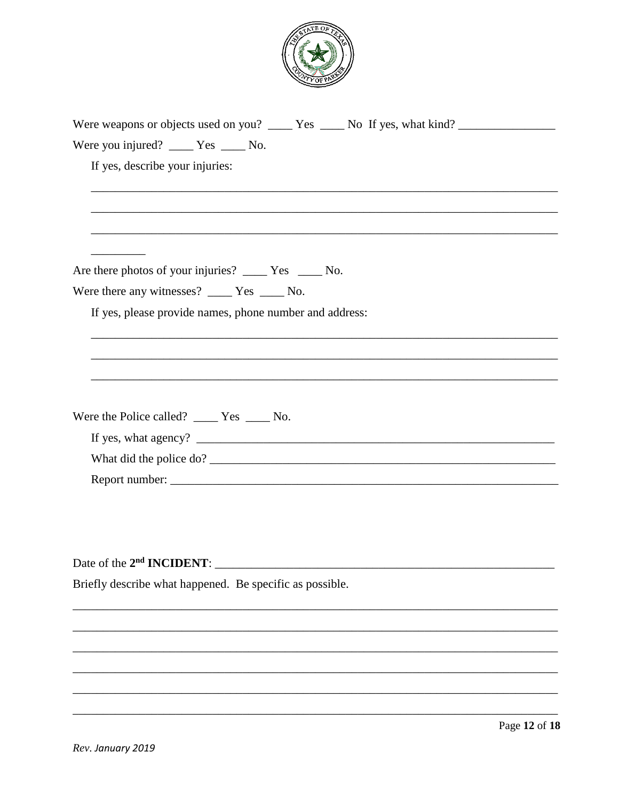

| Were weapons or objects used on you? _____ Yes _____ No If yes, what kind? _________________________ |
|------------------------------------------------------------------------------------------------------|
| Were you injured? ______ Yes ______ No.                                                              |
| If yes, describe your injuries:                                                                      |
|                                                                                                      |
|                                                                                                      |
|                                                                                                      |
| Are there photos of your injuries? _____ Yes _____ No.                                               |
| Were there any witnesses? $\_\_\_\$ Yes $\_\_\_\$ No.                                                |
| If yes, please provide names, phone number and address:                                              |
|                                                                                                      |
|                                                                                                      |
|                                                                                                      |
| Were the Police called? $\_\_\_\$ Yes $\_\_\_\$ No.                                                  |
|                                                                                                      |
|                                                                                                      |
|                                                                                                      |
|                                                                                                      |
|                                                                                                      |
|                                                                                                      |
| Date of the 2 <sup>nd</sup> <b>INCIDENT</b> :                                                        |
| Briefly describe what happened. Be specific as possible.                                             |
|                                                                                                      |
|                                                                                                      |
|                                                                                                      |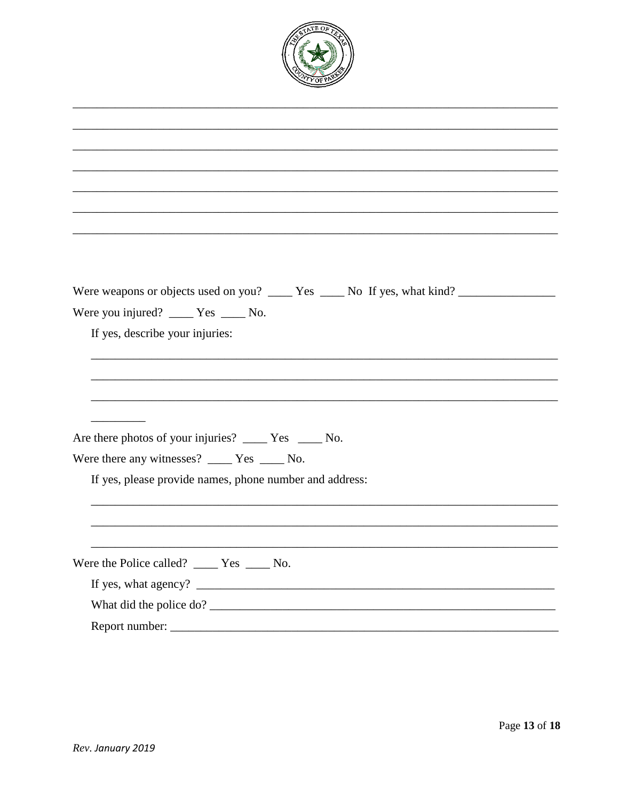

| Were you injured? _____ Yes _____ No.                                                                                                                                                                    |
|----------------------------------------------------------------------------------------------------------------------------------------------------------------------------------------------------------|
| If yes, describe your injuries:                                                                                                                                                                          |
|                                                                                                                                                                                                          |
|                                                                                                                                                                                                          |
|                                                                                                                                                                                                          |
|                                                                                                                                                                                                          |
| Are there photos of your injuries? _______ Yes ______ No.                                                                                                                                                |
| Were there any witnesses? _____ Yes _____ No.                                                                                                                                                            |
| If yes, please provide names, phone number and address:                                                                                                                                                  |
|                                                                                                                                                                                                          |
|                                                                                                                                                                                                          |
|                                                                                                                                                                                                          |
| Were the Police called? _____ Yes _____ No.                                                                                                                                                              |
| If yes, what agency? $\frac{1}{\sqrt{1-\frac{1}{2}}}\left\{\cos \left( \frac{1}{2} \right) + \cos \left( \frac{1}{2} \right) + \cos \left( \frac{1}{2} \right) \cos \left( \frac{1}{2} \right) \right\}$ |
|                                                                                                                                                                                                          |
|                                                                                                                                                                                                          |
|                                                                                                                                                                                                          |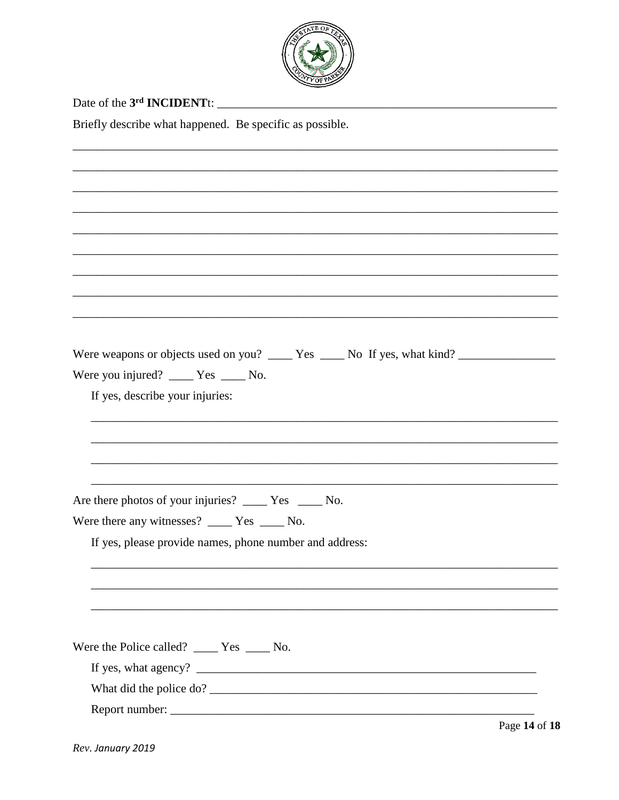

| <b>WIYOFPA</b>                                                                                                                                |
|-----------------------------------------------------------------------------------------------------------------------------------------------|
|                                                                                                                                               |
| Briefly describe what happened. Be specific as possible.                                                                                      |
|                                                                                                                                               |
|                                                                                                                                               |
|                                                                                                                                               |
|                                                                                                                                               |
|                                                                                                                                               |
|                                                                                                                                               |
|                                                                                                                                               |
|                                                                                                                                               |
|                                                                                                                                               |
|                                                                                                                                               |
| Were weapons or objects used on you? _____ Yes _____ No If yes, what kind? _________________________<br>Were you injured? _____ Yes _____ No. |
| If yes, describe your injuries:                                                                                                               |
|                                                                                                                                               |
|                                                                                                                                               |
|                                                                                                                                               |
|                                                                                                                                               |
| Are there photos of your injuries? ______ Yes ______ No.                                                                                      |
| Were there any witnesses? _____ Yes _____ No.                                                                                                 |
| If yes, please provide names, phone number and address:                                                                                       |
|                                                                                                                                               |
|                                                                                                                                               |
|                                                                                                                                               |
|                                                                                                                                               |
| Were the Police called? _____ Yes _____ No.                                                                                                   |
|                                                                                                                                               |
|                                                                                                                                               |
|                                                                                                                                               |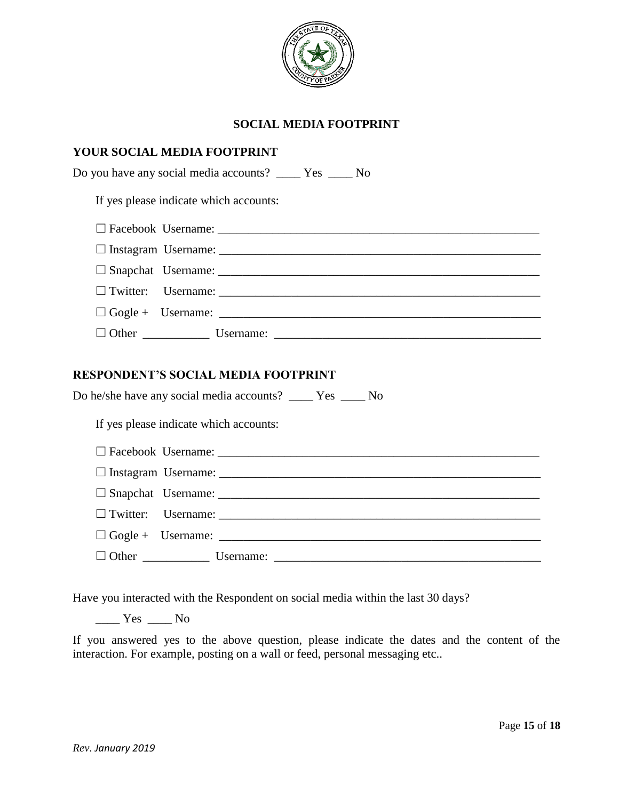

## **SOCIAL MEDIA FOOTPRINT**

| <b>YOUR SOCIAL MEDIA FOOTPRINT</b>                                                                           |
|--------------------------------------------------------------------------------------------------------------|
| Do you have any social media accounts? ______ Yes ______ No                                                  |
| If yes please indicate which accounts:                                                                       |
| $\Box$ Facebook Username:                                                                                    |
|                                                                                                              |
|                                                                                                              |
| $\Box$ Twitter: Username:                                                                                    |
| $\Box$ Gogle + Username:                                                                                     |
|                                                                                                              |
| <b>RESPONDENT'S SOCIAL MEDIA FOOTPRINT</b><br>Do he/she have any social media accounts? ______ Yes ______ No |
| If yes please indicate which accounts:                                                                       |
|                                                                                                              |
|                                                                                                              |
|                                                                                                              |
| $\Box$ Twitter: Username:                                                                                    |
|                                                                                                              |
|                                                                                                              |

Have you interacted with the Respondent on social media within the last 30 days?

 $\frac{1}{\sqrt{1-\frac{1}{c}}}$  Yes  $\frac{1}{\sqrt{1-\frac{1}{c}}}$  No

If you answered yes to the above question, please indicate the dates and the content of the interaction. For example, posting on a wall or feed, personal messaging etc..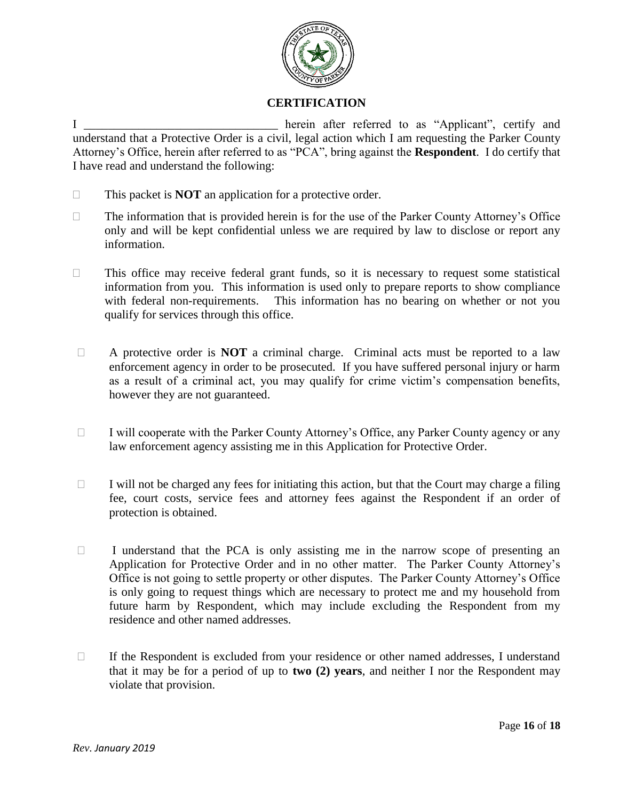

# **CERTIFICATION**

I contract the herein after referred to as "Applicant", certify and understand that a Protective Order is a civil, legal action which I am requesting the Parker County Attorney's Office, herein after referred to as "PCA", bring against the **Respondent**. I do certify that I have read and understand the following:

- □ This packet is **NOT** an application for a protective order.
- $\Box$  The information that is provided herein is for the use of the Parker County Attorney's Office only and will be kept confidential unless we are required by law to disclose or report any information.
- $\Box$  This office may receive federal grant funds, so it is necessary to request some statistical information from you. This information is used only to prepare reports to show compliance with federal non-requirements. This information has no bearing on whether or not you qualify for services through this office.
- A protective order is **NOT** a criminal charge. Criminal acts must be reported to a law enforcement agency in order to be prosecuted. If you have suffered personal injury or harm as a result of a criminal act, you may qualify for crime victim's compensation benefits, however they are not guaranteed.
- $\Box$  I will cooperate with the Parker County Attorney's Office, any Parker County agency or any law enforcement agency assisting me in this Application for Protective Order.
- $\Box$  I will not be charged any fees for initiating this action, but that the Court may charge a filing fee, court costs, service fees and attorney fees against the Respondent if an order of protection is obtained.
- $\Box$  I understand that the PCA is only assisting me in the narrow scope of presenting an Application for Protective Order and in no other matter. The Parker County Attorney's Office is not going to settle property or other disputes. The Parker County Attorney's Office is only going to request things which are necessary to protect me and my household from future harm by Respondent, which may include excluding the Respondent from my residence and other named addresses.
- $\Box$  If the Respondent is excluded from your residence or other named addresses, I understand that it may be for a period of up to **two (2) years**, and neither I nor the Respondent may violate that provision.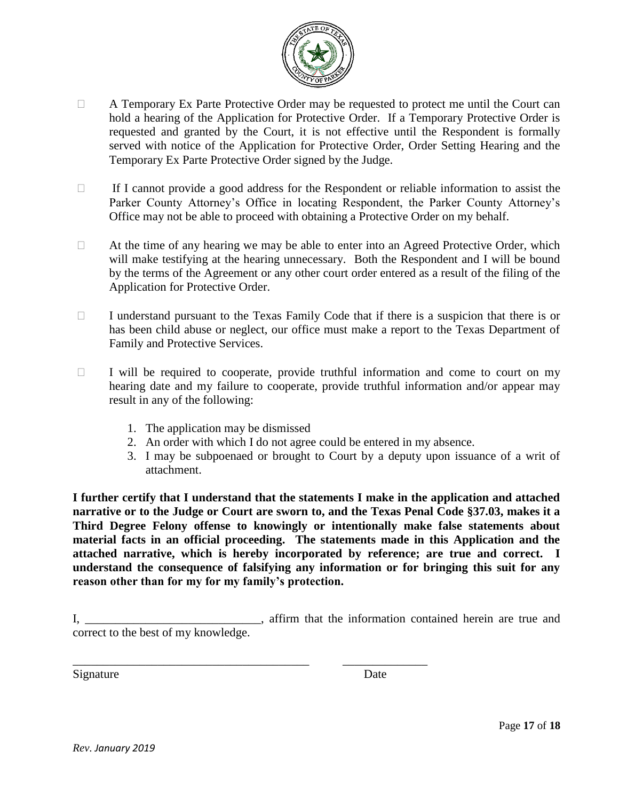

- A Temporary Ex Parte Protective Order may be requested to protect me until the Court can hold a hearing of the Application for Protective Order. If a Temporary Protective Order is requested and granted by the Court, it is not effective until the Respondent is formally served with notice of the Application for Protective Order, Order Setting Hearing and the Temporary Ex Parte Protective Order signed by the Judge.
- $\Box$  If I cannot provide a good address for the Respondent or reliable information to assist the Parker County Attorney's Office in locating Respondent, the Parker County Attorney's Office may not be able to proceed with obtaining a Protective Order on my behalf.
- $\Box$  At the time of any hearing we may be able to enter into an Agreed Protective Order, which will make testifying at the hearing unnecessary. Both the Respondent and I will be bound by the terms of the Agreement or any other court order entered as a result of the filing of the Application for Protective Order.
- $\Box$  I understand pursuant to the Texas Family Code that if there is a suspicion that there is or has been child abuse or neglect, our office must make a report to the Texas Department of Family and Protective Services.
- $\Box$  I will be required to cooperate, provide truthful information and come to court on my hearing date and my failure to cooperate, provide truthful information and/or appear may result in any of the following:
	- 1. The application may be dismissed
	- 2. An order with which I do not agree could be entered in my absence.
	- 3. I may be subpoenaed or brought to Court by a deputy upon issuance of a writ of attachment.

**I further certify that I understand that the statements I make in the application and attached narrative or to the Judge or Court are sworn to, and the Texas Penal Code §37.03, makes it a Third Degree Felony offense to knowingly or intentionally make false statements about material facts in an official proceeding. The statements made in this Application and the attached narrative, which is hereby incorporated by reference; are true and correct. I understand the consequence of falsifying any information or for bringing this suit for any reason other than for my for my family's protection.** 

I, \_\_\_\_\_\_\_\_\_\_\_\_\_\_\_\_\_\_\_\_\_\_\_\_\_\_\_\_\_, affirm that the information contained herein are true and correct to the best of my knowledge.

\_\_\_\_\_\_\_\_\_\_\_\_\_\_\_\_\_\_\_\_\_\_\_\_\_\_\_\_\_\_\_\_\_\_\_\_\_\_\_ \_\_\_\_\_\_\_\_\_\_\_\_\_\_

Signature Date